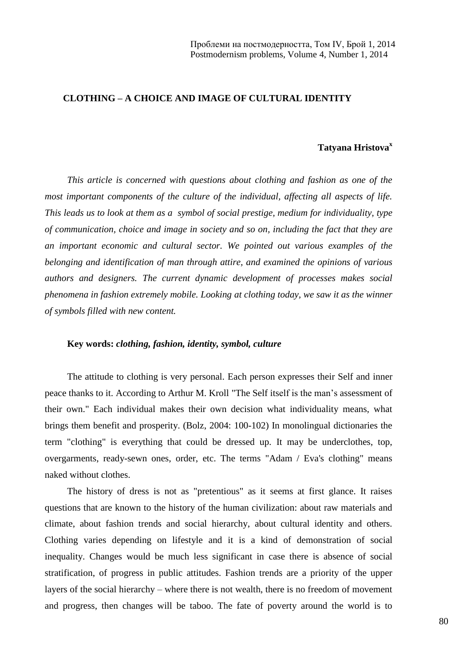## **CLOTHING – A CHOICE AND IMAGE OF CULTURAL IDENTITY**

### **Tatyana Hristova<sup>x</sup>**

*This article is concerned with questions about clothing and fashion as one of the most important components of the culture of the individual, affecting all aspects of life. This leads us to look at them as a symbol of social prestige, medium for individuality, type of communication, choice and image in society and so on, including the fact that they are an important economic and cultural sector. We pointed out various examples of the belonging and identification of man through attire, and examined the opinions of various authors and designers. The current dynamic development of processes makes social phenomena in fashion extremely mobile. Looking at clothing today, we saw it as the winner of symbols filled with new content.*

#### **Key words:** *clothing, fashion, identity, symbol, culture*

The attitude to clothing is very personal. Each person expresses their Self and inner peace thanks to it. According to Arthur M. Kroll "The Self itself is the man's assessment of their own." Each individual makes their own decision what individuality means, what brings them benefit and prosperity. (Bolz, 2004: 100-102) In monolingual dictionaries the term "clothing" is everything that could be dressed up. It may be underclothes, top, overgarments, ready-sewn ones, order, etc. The terms "Adam / Eva's clothing" means naked without clothes.

The history of dress is not as "pretentious" as it seems at first glance. It raises questions that are known to the history of the human civilization: about raw materials and climate, about fashion trends and social hierarchy, about cultural identity and others. Clothing varies depending on lifestyle and it is a kind of demonstration of social inequality. Changes would be much less significant in case there is absence of social stratification, of progress in public attitudes. Fashion trends are a priority of the upper layers of the social hierarchy – where there is not wealth, there is no freedom of movement and progress, then changes will be taboo. The fate of poverty around the world is to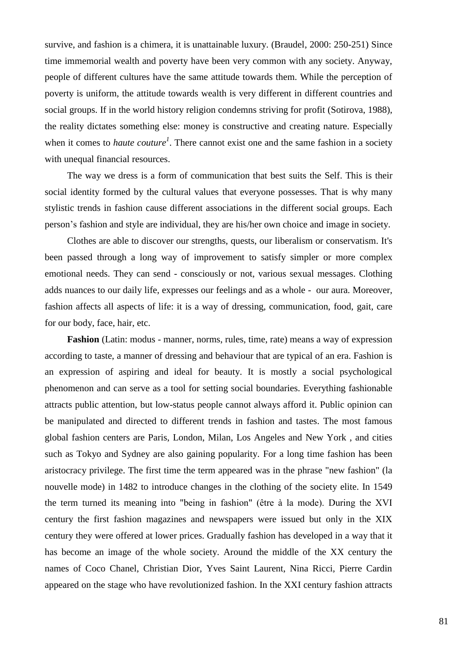survive, and fashion is a chimera, it is unattainable luxury. (Braudel, 2000: 250-251) Since time immemorial wealth and poverty have been very common with any society. Anyway, people of different cultures have the same attitude towards them. While the perception of poverty is uniform, the attitude towards wealth is very different in different countries and social groups. If in the world history religion condemns striving for profit (Sotirova, 1988), the reality dictates something else: money is constructive and creating nature. Especially when it comes to *haute couture<sup>1</sup>*. There cannot exist one and the same fashion in a society with unequal financial resources.

The way we dress is a form of communication that best suits the Self. This is their social identity formed by the cultural values that everyone possesses. That is why many stylistic trends in fashion cause different associations in the different social groups. Each person's fashion and style are individual, they are his/her own choice and image in society.

Clothes are able to discover our strengths, quests, our liberalism or conservatism. It's been passed through a long way of improvement to satisfy simpler or more complex emotional needs. They can send - consciously or not, various sexual messages. Clothing adds nuances to our daily life, expresses our feelings and as a whole - our aura. Moreover, fashion affects all aspects of life: it is a way of dressing, communication, food, gait, care for our body, face, hair, etc.

**Fashion** (Latin: modus - manner, norms, rules, time, rate) means a way of expression according to taste, a manner of dressing and behaviour that are typical of an era. Fashion is an expression of aspiring and ideal for beauty. It is mostly a social psychological phenomenon and can serve as a tool for setting social boundaries. Everything fashionable attracts public attention, but low-status people cannot always afford it. Public opinion can be manipulated and directed to different trends in fashion and tastes. The most famous global fashion centers are Paris, London, Milan, Los Angeles and New York , and cities such as Tokyo and Sydney are also gaining popularity. For a long time fashion has been aristocracy privilege. The first time the term appeared was in the phrase "new fashion" (la nouvelle mode) in 1482 to introduce changes in the clothing of the society elite. In 1549 the term turned its meaning into "being in fashion" (être à la mode). During the XVI century the first fashion magazines and newspapers were issued but only in the XIX century they were offered at lower prices. Gradually fashion has developed in a way that it has become an image of the whole society. Around the middle of the XX century the names of Coco Chanel, Christian Dior, Yves Saint Laurent, Nina Ricci, Pierre Cardin appeared on the stage who have revolutionized fashion. In the XXI century fashion attracts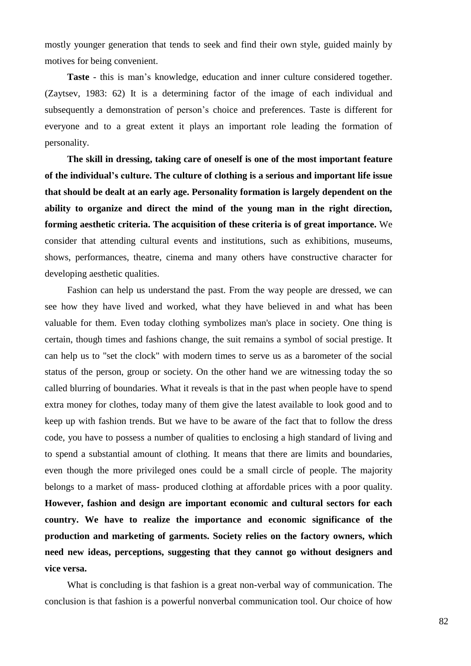mostly younger generation that tends to seek and find their own style, guided mainly by motives for being convenient.

**Taste** - this is man's knowledge, education and inner culture considered together. (Zaytsev, 1983: 62) It is a determining factor of the image of each individual and subsequently a demonstration of person's choice and preferences. Taste is different for everyone and to a great extent it plays an important role leading the formation of personality.

**The skill in dressing, taking care of oneself is one of the most important feature of the individual's culture. The culture of clothing is a serious and important life issue that should be dealt at an early age. Personality formation is largely dependent on the ability to organize and direct the mind of the young man in the right direction, forming aesthetic criteria. The acquisition of these criteria is of great importance.** We consider that attending cultural events and institutions, such as exhibitions, museums, shows, performances, theatre, cinema and many others have constructive character for developing aesthetic qualities.

Fashion can help us understand the past. From the way people are dressed, we can see how they have lived and worked, what they have believed in and what has been valuable for them. Even today clothing symbolizes man's place in society. One thing is certain, though times and fashions change, the suit remains a symbol of social prestige. It can help us to "set the clock" with modern times to serve us as a barometer of the social status of the person, group or society. On the other hand we are witnessing today the so called blurring of boundaries. What it reveals is that in the past when people have to spend extra money for clothes, today many of them give the latest available to look good and to keep up with fashion trends. But we have to be aware of the fact that to follow the dress code, you have to possess a number of qualities to enclosing a high standard of living and to spend a substantial amount of clothing. It means that there are limits and boundaries, even though the more privileged ones could be a small circle of people. The majority belongs to a market of mass- produced clothing at affordable prices with a poor quality. **However, fashion and design are important economic and cultural sectors for each country. We have to realize the importance and economic significance of the production and marketing of garments. Society relies on the factory owners, which need new ideas, perceptions, suggesting that they cannot go without designers and vice versa.**

What is concluding is that fashion is a great non-verbal way of communication. The conclusion is that fashion is a powerful nonverbal communication tool. Our choice of how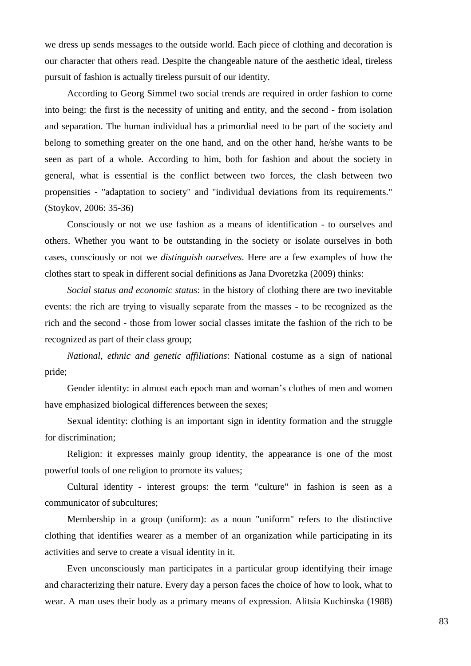we dress up sends messages to the outside world. Each piece of clothing and decoration is our character that others read. Despite the changeable nature of the aesthetic ideal, tireless pursuit of fashion is actually tireless pursuit of our identity.

According to Georg Simmel two social trends are required in order fashion to come into being: the first is the necessity of uniting and entity, and the second - from isolation and separation. The human individual has a primordial need to be part of the society and belong to something greater on the one hand, and on the other hand, he/she wants to be seen as part of a whole. According to him, both for fashion and about the society in general, what is essential is the conflict between two forces, the clash between two propensities - "adaptation to society" and "individual deviations from its requirements." (Stoykov, 2006: 35-36)

Consciously or not we use fashion as a means of identification - to ourselves and others. Whether you want to be outstanding in the society or isolate ourselves in both cases, consciously or not we *distinguish ourselves*. Here are a few examples of how the clothes start to speak in different social definitions as Jana Dvoretzka (2009) thinks:

*Social status and economic status*: in the history of clothing there are two inevitable events: the rich are trying to visually separate from the masses - to be recognized as the rich and the second - those from lower social classes imitate the fashion of the rich to be recognized as part of their class group;

*National, ethnic and genetic affiliations*: National costume as a sign of national pride;

Gender identity: in almost each epoch man and woman's clothes of men and women have emphasized biological differences between the sexes;

Sexual identity: clothing is an important sign in identity formation and the struggle for discrimination;

Religion: it expresses mainly group identity, the appearance is one of the most powerful tools of one religion to promote its values;

Cultural identity - interest groups: the term "culture" in fashion is seen as a communicator of subcultures;

Membership in a group (uniform): as a noun "uniform" refers to the distinctive clothing that identifies wearer as a member of an organization while participating in its activities and serve to create a visual identity in it.

Even unconsciously man participates in a particular group identifying their image and characterizing their nature. Every day a person faces the choice of how to look, what to wear. A man uses their body as a primary means of expression. Alitsia Kuchinska (1988)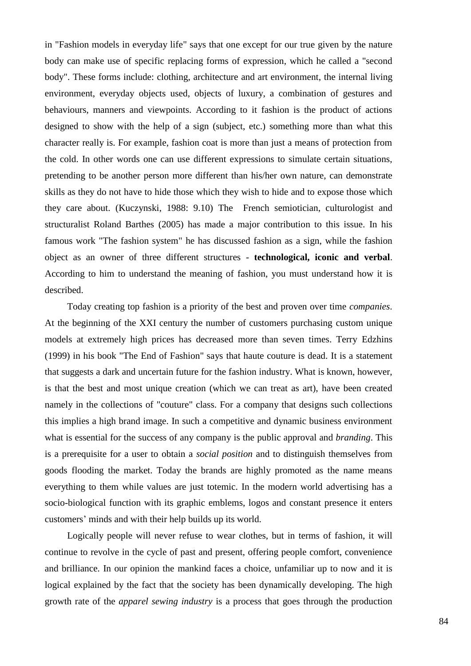in "Fashion models in everyday life" says that one except for our true given by the nature body can make use of specific replacing forms of expression, which he called a "second body". These forms include: clothing, architecture and art environment, the internal living environment, everyday objects used, objects of luxury, a combination of gestures and behaviours, manners and viewpoints. According to it fashion is the product of actions designed to show with the help of a sign (subject, etc.) something more than what this character really is. For example, fashion coat is more than just a means of protection from the cold. In other words one can use different expressions to simulate certain situations, pretending to be another person more different than his/her own nature, can demonstrate skills as they do not have to hide those which they wish to hide and to expose those which they care about. (Kuczynski, 1988: 9.10) The French semiotician, culturologist and structuralist Roland Barthes (2005) has made a major contribution to this issue. In his famous work "The fashion system" he has discussed fashion as a sign, while the fashion object as an owner of three different structures - **technological, iconic and verbal**. According to him to understand the meaning of fashion, you must understand how it is described.

Today creating top fashion is a priority of the best and proven over time *companies*. At the beginning of the XXI century the number of customers purchasing custom unique models at extremely high prices has decreased more than seven times. Terry Edzhins (1999) in his book "The End of Fashion" says that haute couture is dead. It is a statement that suggests a dark and uncertain future for the fashion industry. What is known, however, is that the best and most unique creation (which we can treat as art), have been created namely in the collections of "couture" class. For a company that designs such collections this implies a high brand image. In such a competitive and dynamic business environment what is essential for the success of any company is the public approval and *branding*. This is a prerequisite for a user to obtain a *social position* and to distinguish themselves from goods flooding the market. Today the brands are highly promoted as the name means everything to them while values are just totemic. In the modern world advertising has a socio-biological function with its graphic emblems, logos and constant presence it enters customers' minds and with their help builds up its world.

Logically people will never refuse to wear clothes, but in terms of fashion, it will continue to revolve in the cycle of past and present, offering people comfort, convenience and brilliance. In our opinion the mankind faces a choice, unfamiliar up to now and it is logical explained by the fact that the society has been dynamically developing. The high growth rate of the *apparel sewing industry* is a process that goes through the production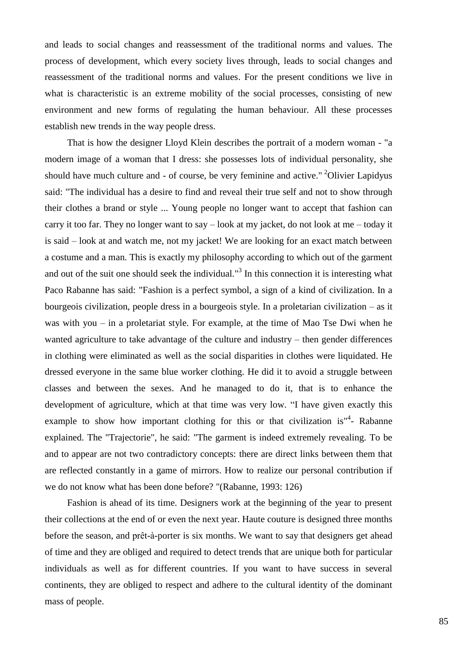and leads to social changes and reassessment of the traditional norms and values. The process of development, which every society lives through, leads to social changes and reassessment of the traditional norms and values. For the present conditions we live in what is characteristic is an extreme mobility of the social processes, consisting of new environment and new forms of regulating the human behaviour. All these processes establish new trends in the way people dress.

That is how the designer Lloyd Klein describes the portrait of a modern woman - "a modern image of a woman that I dress: she possesses lots of individual personality, she should have much culture and - of course, be very feminine and active." <sup>2</sup>Olivier Lapidyus said: "The individual has a desire to find and reveal their true self and not to show through their clothes a brand or style ... Young people no longer want to accept that fashion can carry it too far. They no longer want to say – look at my jacket, do not look at me – today it is said – look at and watch me, not my jacket! We are looking for an exact match between a costume and a man. This is exactly my philosophy according to which out of the garment and out of the suit one should seek the individual." $3$  In this connection it is interesting what Paco Rabanne has said: "Fashion is a perfect symbol, a sign of a kind of civilization. In a bourgeois civilization, people dress in a bourgeois style. In a proletarian civilization – as it was with you – in a proletariat style. For example, at the time of Mao Tse Dwi when he wanted agriculture to take advantage of the culture and industry – then gender differences in clothing were eliminated as well as the social disparities in clothes were liquidated. He dressed everyone in the same blue worker clothing. He did it to avoid a struggle between classes and between the sexes. And he managed to do it, that is to enhance the development of agriculture, which at that time was very low. "I have given exactly this example to show how important clothing for this or that civilization is<sup>14</sup>- Rabanne explained. The "Trajectorie", he said: "The garment is indeed extremely revealing. To be and to appear are not two contradictory concepts: there are direct links between them that are reflected constantly in a game of mirrors. How to realize our personal contribution if we do not know what has been done before? "(Rabanne, 1993: 126)

Fashion is ahead of its time. Designers work at the beginning of the year to present their collections at the end of or even the next year. Haute couture is designed three months before the season, and prêt-à-porter is six months. We want to say that designers get ahead of time and they are obliged and required to detect trends that are unique both for particular individuals as well as for different countries. If you want to have success in several continents, they are obliged to respect and adhere to the cultural identity of the dominant mass of people.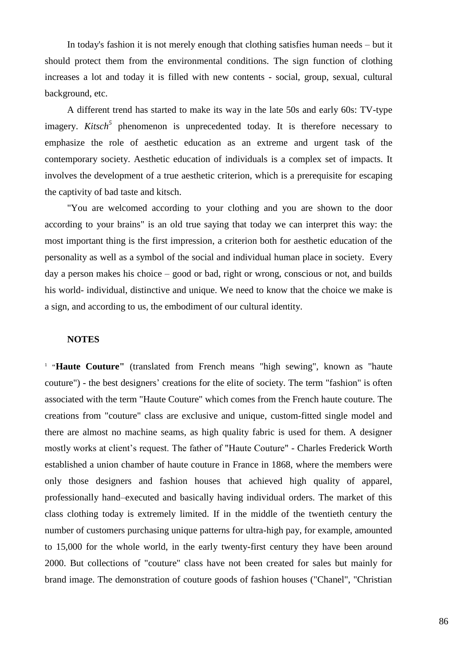In today's fashion it is not merely enough that clothing satisfies human needs – but it should protect them from the environmental conditions. The sign function of clothing increases a lot and today it is filled with new contents - social, group, sexual, cultural background, etc.

A different trend has started to make its way in the late 50s and early 60s: TV-type imagery. *Kitsch*<sup>5</sup> phenomenon is unprecedented today. It is therefore necessary to emphasize the role of aesthetic education as an extreme and urgent task of the contemporary society. Aesthetic education of individuals is a complex set of impacts. It involves the development of a true aesthetic criterion, which is a prerequisite for escaping the captivity of bad taste and kitsch.

"You are welcomed according to your clothing and you are shown to the door according to your brains" is an old true saying that today we can interpret this way: the most important thing is the first impression, a criterion both for aesthetic education of the personality as well as a symbol of the social and individual human place in society. Every day a person makes his choice – good or bad, right or wrong, conscious or not, and builds his world- individual, distinctive and unique. We need to know that the choice we make is a sign, and according to us, the embodiment of our cultural identity.

#### **NOTES**

<sup>1</sup> "Haute Couture" (translated from French means "high sewing", known as "haute couture") - the best designers' creations for the elite of society. The term "fashion" is often associated with the term "Haute Couture" which comes from the French haute couture. The creations from "couture" class are exclusive and unique, custom-fitted single model and there are almost no machine seams, as high quality fabric is used for them. A designer mostly works at client's request. The father of "Haute Couture" - Charles Frederick Worth established a union chamber of haute couture in France in 1868, where the members were only those designers and fashion houses that achieved high quality of apparel, professionally hand–executed and basically having individual orders. The market of this class clothing today is extremely limited. If in the middle of the twentieth century the number of customers purchasing unique patterns for ultra-high pay, for example, amounted to 15,000 for the whole world, in the early twenty-first century they have been around 2000. But collections of "couture" class have not been created for sales but mainly for brand image. The demonstration of couture goods of fashion houses ("Chanel", "Christian